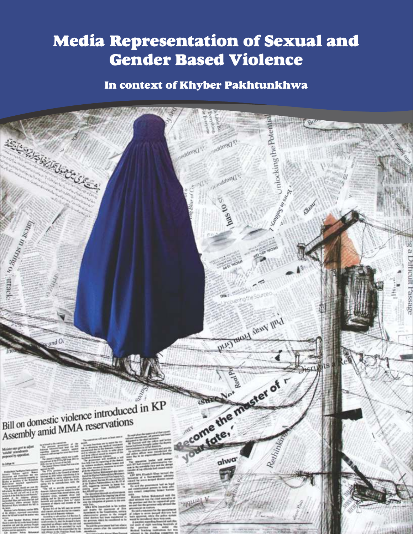# Media Representation of Sexual and Gender Based Violence

# In context of Khyber Pakhtunkhwa

# nlocking the Poten **REGISTER SERVICE CONTROLLER** anddreid st poddpsi() s Dreadaosid Company Contractor Relay oveen Breschwanner<br>Contractor (1999) PLUJ HADALI ARANY III'd  $_{and}$  O come the master of r Bill on domestic violence introduced in KP<br>Accembly amid MMA reservations Bill on domestic violence involutions<br>Assembly amid MMA reservations your fate, Rethinking alwa

V Janal V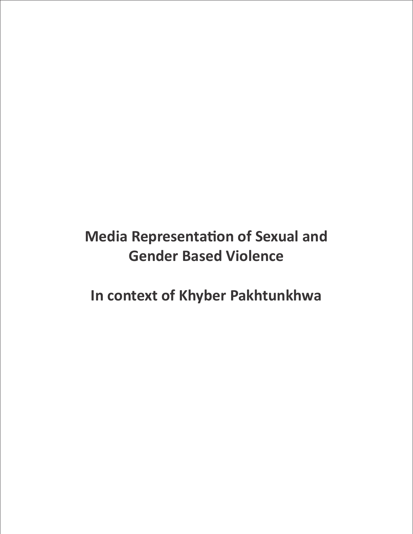# **Media Representation of Sexual and Gender Based Violence**

**In context of Khyber Pakhtunkhwa**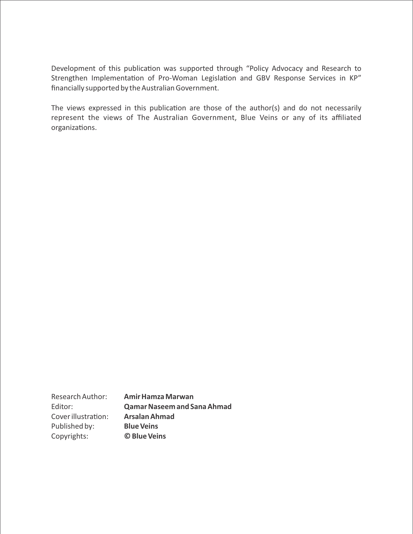Development of this publication was supported through "Policy Advocacy and Research to Strengthen Implementation of Pro-Woman Legislation and GBV Response Services in KP" financially supported by the Australian Government.

The views expressed in this publication are those of the author(s) and do not necessarily represent the views of The Australian Government, Blue Veins or any of its affiliated organizations.

Research Author: **Amir Hamza Marwan**  Editor: **Qamar Naseem and Sana Ahmad**  Cover illustration: **Arsalan Ahmad** Published by: **Blue Veins**  Copyrights: **© Blue Veins**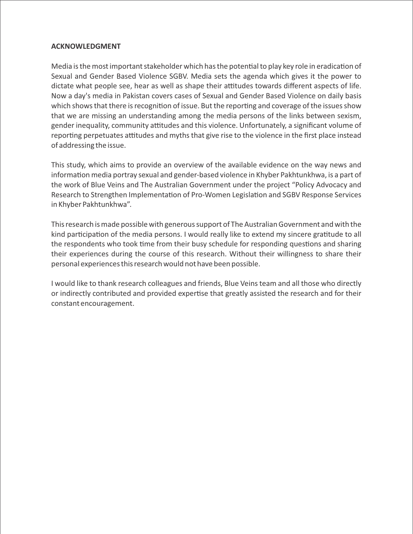#### **ACKNOWLEDGMENT**

Media is the most important stakeholder which has the potential to play key role in eradication of Sexual and Gender Based Violence SGBV. Media sets the agenda which gives it the power to dictate what people see, hear as well as shape their attitudes towards different aspects of life. Now a day's media in Pakistan covers cases of Sexual and Gender Based Violence on daily basis which shows that there is recognition of issue. But the reporting and coverage of the issues show that we are missing an understanding among the media persons of the links between sexism, gender inequality, community attitudes and this violence. Unfortunately, a significant volume of reporting perpetuates attitudes and myths that give rise to the violence in the first place instead of addressing the issue.

This study, which aims to provide an overview of the available evidence on the way news and information media portray sexual and gender-based violence in Khyber Pakhtunkhwa, is a part of the work of Blue Veins and The Australian Government under the project "Policy Advocacy and Research to Strengthen Implementation of Pro-Women Legislation and SGBV Response Services in Khyber Pakhtunkhwa".

This research is made possible with generous support of The Australian Government and with the kind participation of the media persons. I would really like to extend my sincere gratitude to all the respondents who took time from their busy schedule for responding questions and sharing their experiences during the course of this research. Without their willingness to share their personal experiences this research would not have been possible.

I would like to thank research colleagues and friends, Blue Veins team and all those who directly or indirectly contributed and provided expertise that greatly assisted the research and for their constant encouragement.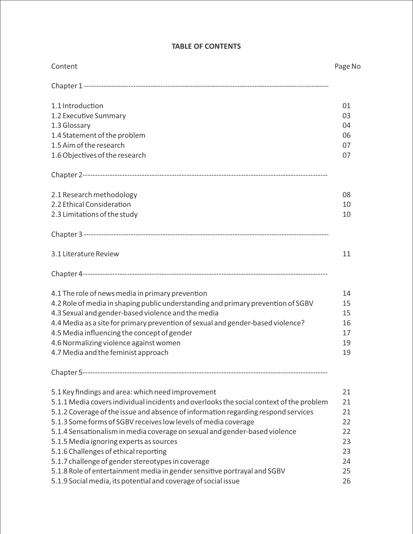| Content                                                                                 | Page No |
|-----------------------------------------------------------------------------------------|---------|
|                                                                                         |         |
| 1.1 Introduction                                                                        | 01      |
| 1.2 Executive Summary                                                                   | 03      |
| 1.3 Glossary                                                                            | 04      |
| 1.4 Statement of the problem                                                            | 06      |
| 1.5 Aim of the research                                                                 | 07      |
| 1.6 Objectives of the research                                                          | 07      |
|                                                                                         |         |
| 2.1 Research methodology                                                                | 08      |
| 2.2 Ethical Consideration                                                               | 10      |
| 2.3 Limitations of the study                                                            | 10      |
|                                                                                         |         |
| 3.1 Literature Review                                                                   | 11      |
|                                                                                         |         |
| 4.1 The role of news media in primary prevention                                        | 14      |
| 4.2 Role of media in shaping public understanding and primary prevention of SGBV        | 15      |
| 4.3 Sexual and gender-based violence and the media                                      | 15      |
| 4.4 Media as a site for primary prevention of sexual and gender-based violence?         | 16      |
| 4.5 Media influencing the concept of gender                                             | 17      |
| 4.6 Normalizing violence against women                                                  | 19      |
| 4.7 Media and the feminist approach                                                     | 19      |
|                                                                                         |         |
| 5.1 Key findings and area: which need improvement                                       | 21      |
| 5.1.1 Media covers individual incidents and overlooks the social context of the problem | 21      |
| 5.1.2 Coverage of the issue and absence of information regarding respond services       | 21      |
| 5.1.3 Some forms of SGBV receives low levels of media coverage                          | 22      |
| 5.1.4 Sensationalism in media coverage on sexual and gender-based violence              | 22      |
| 5.1.5 Media ignoring experts as sources                                                 | 23      |
| 5.1.6 Challenges of ethical reporting                                                   | 23      |
| 5.1.7 challenge of gender stereotypes in coverage                                       | 24      |
| 5.1.8 Role of entertainment media in gender sensitive portrayal and SGBV                | 25      |
| 5.1.9 Social media, its potential and coverage of social issue                          | 26      |

#### **TABLE OF CONTENTS**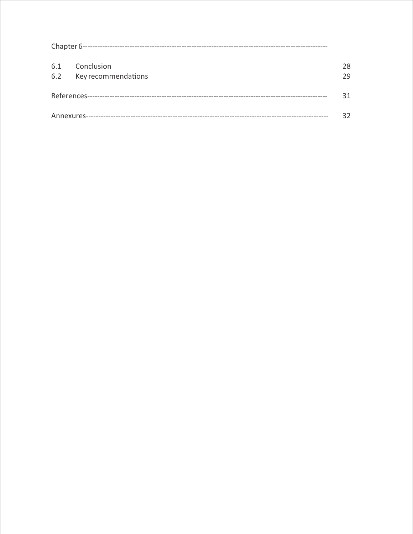| 6.1 | Conclusion              | 28 |
|-----|-------------------------|----|
|     | 6.2 Key recommendations | 79 |
|     |                         | 31 |
|     |                         | 32 |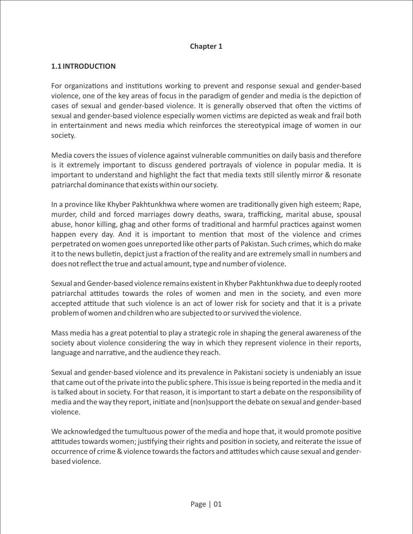#### **Chapter 1**

#### **1.1 INTRODUCTION**

For organizations and institutions working to prevent and response sexual and gender-based violence, one of the key areas of focus in the paradigm of gender and media is the depiction of cases of sexual and gender-based violence. It is generally observed that often the victims of sexual and gender-based violence especially women victims are depicted as weak and frail both in entertainment and news media which reinforces the stereotypical image of women in our society.

Media covers the issues of violence against vulnerable communities on daily basis and therefore is it extremely important to discuss gendered portrayals of violence in popular media. It is important to understand and highlight the fact that media texts still silently mirror & resonate patriarchal dominance that exists within our society.

In a province like Khyber Pakhtunkhwa where women are traditionally given high esteem; Rape, murder, child and forced marriages dowry deaths, swara, trafficking, marital abuse, spousal abuse, honor killing, ghag and other forms of traditional and harmful practices against women happen every day. And it is important to mention that most of the violence and crimes perpetrated on women goes unreported like other parts of Pakistan. Such crimes, which do make it to the news bulletin, depict just a fraction of the reality and are extremely small in numbers and does not reflect the true and actual amount, type and number of violence.

Sexual and Gender-based violence remains existent in Khyber Pakhtunkhwa due to deeply rooted patriarchal attitudes towards the roles of women and men in the society, and even more accepted attitude that such violence is an act of lower risk for society and that it is a private problem of women and children who are subjected to or survived the violence.

Mass media has a great potential to play a strategic role in shaping the general awareness of the society about violence considering the way in which they represent violence in their reports, language and narrative, and the audience they reach.

Sexual and gender-based violence and its prevalence in Pakistani society is undeniably an issue that came out of the private into the public sphere. This issue is being reported in the media and it is talked about in society. For that reason, it is important to start a debate on the responsibility of media and the way they report, initiate and (non)support the debate on sexual and gender-based violence.

We acknowledged the tumultuous power of the media and hope that, it would promote positive attitudes towards women; justifying their rights and position in society, and reiterate the issue of occurrence of crime & violence towards the factors and attitudes which cause sexual and genderbased violence.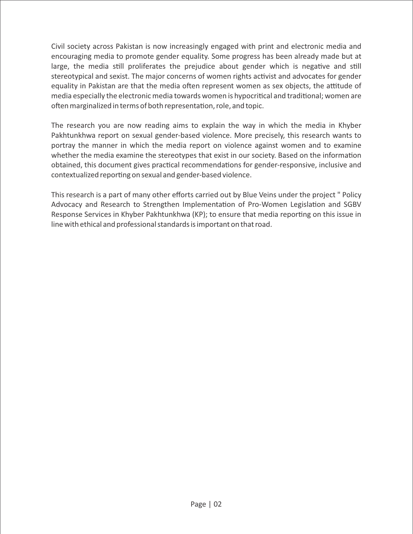Civil society across Pakistan is now increasingly engaged with print and electronic media and encouraging media to promote gender equality. Some progress has been already made but at large, the media still proliferates the prejudice about gender which is negative and still stereotypical and sexist. The major concerns of women rights activist and advocates for gender equality in Pakistan are that the media often represent women as sex objects, the attitude of media especially the electronic media towards women is hypocritical and traditional; women are often marginalized in terms of both representation, role, and topic.

The research you are now reading aims to explain the way in which the media in Khyber Pakhtunkhwa report on sexual gender-based violence. More precisely, this research wants to portray the manner in which the media report on violence against women and to examine whether the media examine the stereotypes that exist in our society. Based on the information obtained, this document gives practical recommendations for gender-responsive, inclusive and contextualized reporting on sexual and gender-based violence.

This research is a part of many other efforts carried out by Blue Veins under the project " Policy Advocacy and Research to Strengthen Implementation of Pro-Women Legislation and SGBV Response Services in Khyber Pakhtunkhwa (KP); to ensure that media reporting on this issue in line with ethical and professional standards is important on that road.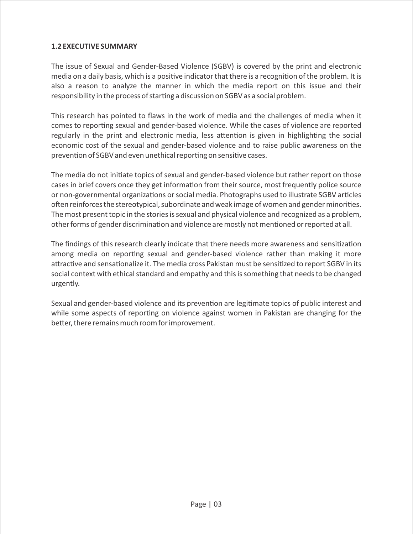#### **1.2 EXECUTIVE SUMMARY**

The issue of Sexual and Gender-Based Violence (SGBV) is covered by the print and electronic media on a daily basis, which is a positive indicator that there is a recognition of the problem. It is also a reason to analyze the manner in which the media report on this issue and their responsibility in the process of starting a discussion on SGBV as a social problem.

This research has pointed to flaws in the work of media and the challenges of media when it comes to reporting sexual and gender-based violence. While the cases of violence are reported regularly in the print and electronic media, less attention is given in highlighting the social economic cost of the sexual and gender-based violence and to raise public awareness on the prevention of SGBV and even unethical reporting on sensitive cases.

The media do not initiate topics of sexual and gender-based violence but rather report on those cases in brief covers once they get information from their source, most frequently police source or non-governmental organizations or social media. Photographs used to illustrate SGBV articles often reinforces the stereotypical, subordinate and weak image of women and gender minorities. The most present topic in the stories is sexual and physical violence and recognized as a problem, other forms of gender discrimination and violence are mostly not mentioned or reported at all.

The findings of this research clearly indicate that there needs more awareness and sensitization among media on reporting sexual and gender-based violence rather than making it more attractive and sensationalize it. The media cross Pakistan must be sensitized to report SGBV in its social context with ethical standard and empathy and this is something that needs to be changed urgently.

Sexual and gender-based violence and its prevention are legitimate topics of public interest and while some aspects of reporting on violence against women in Pakistan are changing for the better, there remains much room for improvement.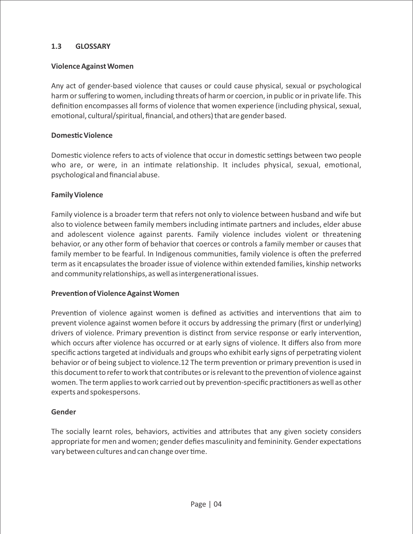#### **1.3 GLOSSARY**

#### **Violence Against Women**

Any act of gender-based violence that causes or could cause physical, sexual or psychological harm or suffering to women, including threats of harm or coercion, in public or in private life. This definition encompasses all forms of violence that women experience (including physical, sexual, emotional, cultural/spiritual, financial, and others) that are gender based.

#### **Domestic Violence**

Domestic violence refers to acts of violence that occur in domestic settings between two people who are, or were, in an intimate relationship. It includes physical, sexual, emotional, psychological and financial abuse.

#### **Family Violence**

Family violence is a broader term that refers not only to violence between husband and wife but also to violence between family members including intimate partners and includes, elder abuse and adolescent violence against parents. Family violence includes violent or threatening behavior, or any other form of behavior that coerces or controls a family member or causes that family member to be fearful. In Indigenous communities, family violence is often the preferred term as it encapsulates the broader issue of violence within extended families, kinship networks and community relationships, as well as intergenerational issues.

#### **Prevention of Violence Against Women**

Prevention of violence against women is defined as activities and interventions that aim to prevent violence against women before it occurs by addressing the primary (first or underlying) drivers of violence. Primary prevention is distinct from service response or early intervention, which occurs after violence has occurred or at early signs of violence. It differs also from more specific actions targeted at individuals and groups who exhibit early signs of perpetrating violent behavior or of being subject to violence.12 The term prevention or primary prevention is used in this document to refer to work that contributes or is relevant to the prevention of violence against women. The term applies to work carried out by prevention-specific practitioners as well as other experts and spokespersons.

#### **Gender**

The socially learnt roles, behaviors, activities and attributes that any given society considers appropriate for men and women; gender defies masculinity and femininity. Gender expectations vary between cultures and can change over time.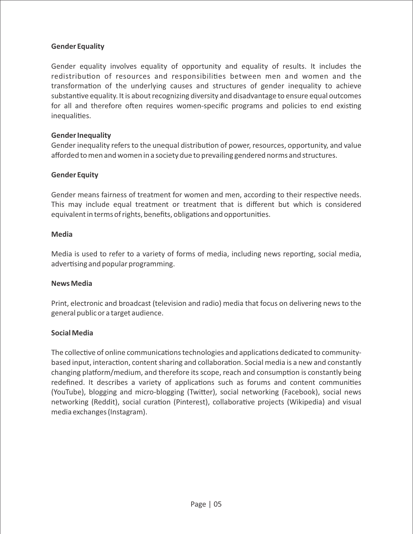#### **Gender Equality**

Gender equality involves equality of opportunity and equality of results. It includes the redistribution of resources and responsibilities between men and women and the transformation of the underlying causes and structures of gender inequality to achieve substantive equality. It is about recognizing diversity and disadvantage to ensure equal outcomes for all and therefore often requires women-specific programs and policies to end existing inequalities.

#### **Gender Inequality**

Gender inequality refers to the unequal distribution of power, resources, opportunity, and value afforded to men and women in a society due to prevailing gendered norms and structures.

#### **Gender Equity**

Gender means fairness of treatment for women and men, according to their respective needs. This may include equal treatment or treatment that is different but which is considered equivalent in terms of rights, benefits, obligations and opportunities.

#### **Media**

Media is used to refer to a variety of forms of media, including news reporting, social media, advertising and popular programming.

#### **News Media**

Print, electronic and broadcast (television and radio) media that focus on delivering news to the general public or a target audience.

#### **Social Media**

The collective of online communications technologies and applications dedicated to communitybased input, interaction, content sharing and collaboration. Social media is a new and constantly changing platform/medium, and therefore its scope, reach and consumption is constantly being redefined. It describes a variety of applications such as forums and content communities (YouTube), blogging and micro-blogging (Twitter), social networking (Facebook), social news networking (Reddit), social curation (Pinterest), collaborative projects (Wikipedia) and visual media exchanges (Instagram).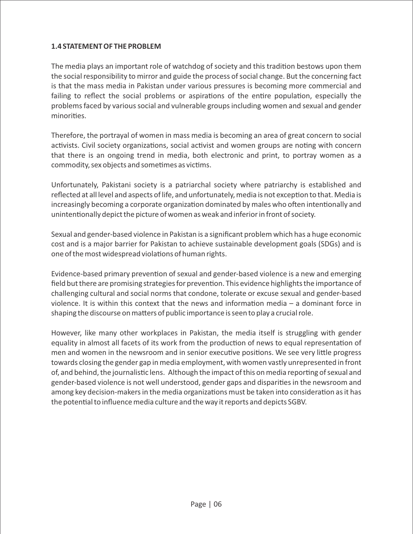#### **1.4 STATEMENT OF THE PROBLEM**

The media plays an important role of watchdog of society and this tradition bestows upon them the social responsibility to mirror and guide the process of social change. But the concerning fact is that the mass media in Pakistan under various pressures is becoming more commercial and failing to reflect the social problems or aspirations of the entire population, especially the problems faced by various social and vulnerable groups including women and sexual and gender minorities.

Therefore, the portrayal of women in mass media is becoming an area of great concern to social activists. Civil society organizations, social activist and women groups are noting with concern that there is an ongoing trend in media, both electronic and print, to portray women as a commodity, sex objects and sometimes as victims.

Unfortunately, Pakistani society is a patriarchal society where patriarchy is established and reflected at all level and aspects of life, and unfortunately, media is not exception to that. Media is increasingly becoming a corporate organization dominated by males who often intentionally and unintentionally depict the picture of women as weak and inferior in front of society.

Sexual and gender-based violence in Pakistan is a significant problem which has a huge economic cost and is a major barrier for Pakistan to achieve sustainable development goals (SDGs) and is one of the most widespread violations of human rights.

Evidence-based primary prevention of sexual and gender-based violence is a new and emerging field but there are promising strategies for prevention. This evidence highlights the importance of challenging cultural and social norms that condone, tolerate or excuse sexual and gender-based violence. It is within this context that the news and information media  $-$  a dominant force in shaping the discourse on matters of public importance is seen to play a crucial role.

However, like many other workplaces in Pakistan, the media itself is struggling with gender equality in almost all facets of its work from the production of news to equal representation of men and women in the newsroom and in senior executive positions. We see very little progress towards closing the gender gap in media employment, with women vastly unrepresented in front of, and behind, the journalistic lens. Although the impact of this on media reporting of sexual and gender-based violence is not well understood, gender gaps and disparities in the newsroom and among key decision-makers in the media organizations must be taken into consideration as it has the potential to influence media culture and the way it reports and depicts SGBV.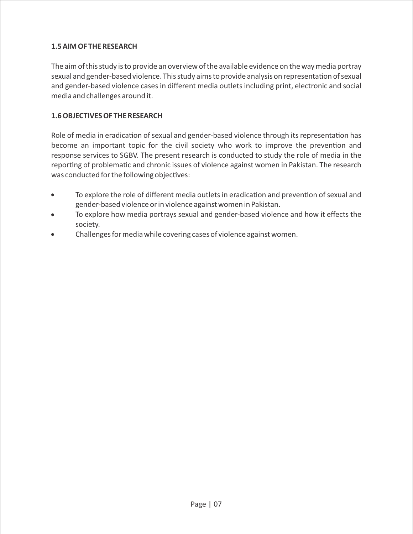#### **1.5 AIM OF THE RESEARCH**

The aim of this study is to provide an overview of the available evidence on the way media portray sexual and gender-based violence. This study aims to provide analysis on representation of sexual and gender-based violence cases in different media outlets including print, electronic and social media and challenges around it.

#### **1.6 OBJECTIVES OF THE RESEARCH**

Role of media in eradication of sexual and gender-based violence through its representation has become an important topic for the civil society who work to improve the prevention and response services to SGBV. The present research is conducted to study the role of media in the reporting of problematic and chronic issues of violence against women in Pakistan. The research was conducted for the following objectives:

- To explore the role of different media outlets in eradication and prevention of sexual and gender-based violence or in violence against women in Pakistan.
- To explore how media portrays sexual and gender-based violence and how it effects the society.
- · Challenges for media while covering cases of violence against women.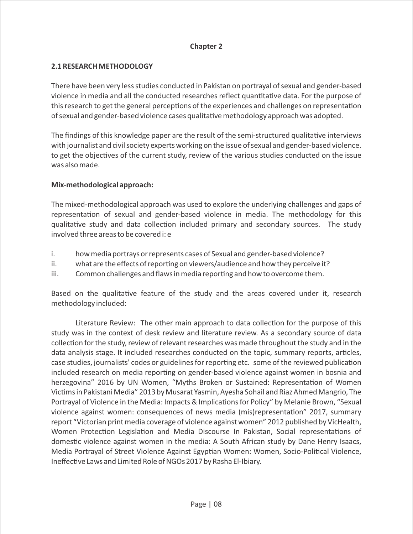#### **Chapter 2**

#### **2.1 RESEARCH METHODOLOGY**

There have been very less studies conducted in Pakistan on portrayal of sexual and gender-based violence in media and all the conducted researches reflect quantitative data. For the purpose of this research to get the general perceptions of the experiences and challenges on representation of sexual and gender-based violence cases qualitave methodology approach was adopted.

The findings of this knowledge paper are the result of the semi-structured qualitative interviews with journalist and civil society experts working on the issue of sexual and gender-based violence. to get the objectives of the current study, review of the various studies conducted on the issue was also made.

#### **Mix-methodological approach:**

The mixed-methodological approach was used to explore the underlying challenges and gaps of representation of sexual and gender-based violence in media. The methodology for this qualitative study and data collection included primary and secondary sources. The study involved three areas to be covered i: e

- i. how media portrays or represents cases of Sexual and gender-based violence?
- $ii.$  what are the effects of reporting on viewers/audience and how they perceive it?
- iii. Common challenges and flaws in media reporting and how to overcome them.

Based on the qualitative feature of the study and the areas covered under it, research methodology included:

Literature Review: The other main approach to data collection for the purpose of this study was in the context of desk review and literature review. As a secondary source of data collection for the study, review of relevant researches was made throughout the study and in the data analysis stage. It included researches conducted on the topic, summary reports, articles, case studies, journalists' codes or guidelines for reporting etc. some of the reviewed publication included research on media reporting on gender-based violence against women in bosnia and herzegovina" 2016 by UN Women, "Myths Broken or Sustained: Representation of Women Victims in Pakistani Media" 2013 by Musarat Yasmin, Ayesha Sohail and Riaz Ahmed Mangrio, The Portrayal of Violence in the Media: Impacts & Implications for Policy" by Melanie Brown, "Sexual violence against women: consequences of news media (mis)representation" 2017, summary report "Victorian print media coverage of violence against women" 2012 published by VicHealth, Women Protection Legislation and Media Discourse In Pakistan, Social representations of domestic violence against women in the media: A South African study by Dane Henry Isaacs, Media Portrayal of Street Violence Against Egyptian Women: Women, Socio-Political Violence, Ineffective Laws and Limited Role of NGOs 2017 by Rasha El-Ibiary.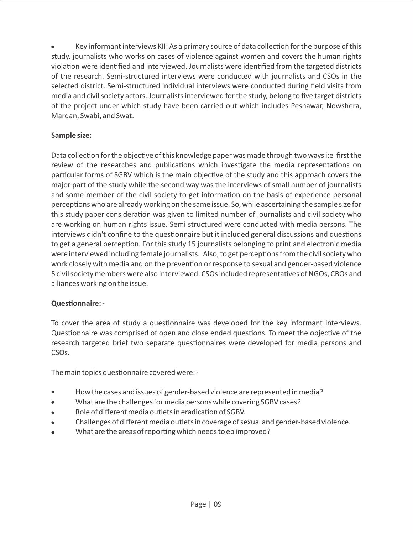Key informant interviews KII: As a primary source of data collection for the purpose of this study, journalists who works on cases of violence against women and covers the human rights violation were identified and interviewed. Journalists were identified from the targeted districts of the research. Semi-structured interviews were conducted with journalists and CSOs in the selected district. Semi-structured individual interviews were conducted during field visits from media and civil society actors. Journalists interviewed for the study, belong to five target districts of the project under which study have been carried out which includes Peshawar, Nowshera, Mardan, Swabi, and Swat.

#### **Sample size:**

Data collection for the objective of this knowledge paper was made through two ways i:e first the review of the researches and publications which investigate the media representations on particular forms of SGBV which is the main objective of the study and this approach covers the major part of the study while the second way was the interviews of small number of journalists and some member of the civil society to get information on the basis of experience personal perceptions who are already working on the same issue. So, while ascertaining the sample size for this study paper consideration was given to limited number of journalists and civil society who are working on human rights issue. Semi structured were conducted with media persons. The interviews didn't confine to the questionnaire but it included general discussions and questions to get a general perception. For this study 15 journalists belonging to print and electronic media were interviewed including female journalists. Also, to get perceptions from the civil society who work closely with media and on the prevention or response to sexual and gender-based violence 5 civil society members were also interviewed. CSOs included representatives of NGOs, CBOs and alliances working on the issue.

#### **Questionnaire: -**

To cover the area of study a questionnaire was developed for the key informant interviews. Questionnaire was comprised of open and close ended questions. To meet the objective of the research targeted brief two separate questionnaires were developed for media persons and CSOs.

The main topics questionnaire covered were: -

- How the cases and issues of gender-based violence are represented in media?
- What are the challenges for media persons while covering SGBV cases?
- Role of different media outlets in eradication of SGBV.
- Challenges of different media outlets in coverage of sexual and gender-based violence.
- What are the areas of reporting which needs to eb improved?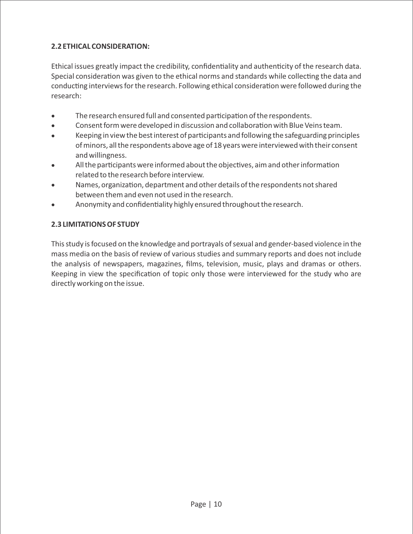## **2.2 ETHICAL CONSIDERATION:**

Ethical issues greatly impact the credibility, confidentiality and authenticity of the research data. Special consideration was given to the ethical norms and standards while collecting the data and conducting interviews for the research. Following ethical consideration were followed during the research:

- The research ensured full and consented participation of the respondents.
- Consent form were developed in discussion and collaboration with Blue Veins team.
- Keeping in view the best interest of participants and following the safeguarding principles of minors, all the respondents above age of 18 years were interviewed with their consent and willingness.
- $\bullet$  All the participants were informed about the objectives, aim and other information related to the research before interview.
- Names, organization, department and other details of the respondents not shared between them and even not used in the research.
- Anonymity and confidentiality highly ensured throughout the research.

#### **2.3 LIMITATIONS OF STUDY**

This study is focused on the knowledge and portrayals of sexual and gender-based violence in the mass media on the basis of review of various studies and summary reports and does not include the analysis of newspapers, magazines, films, television, music, plays and dramas or others. Keeping in view the specification of topic only those were interviewed for the study who are directly working on the issue.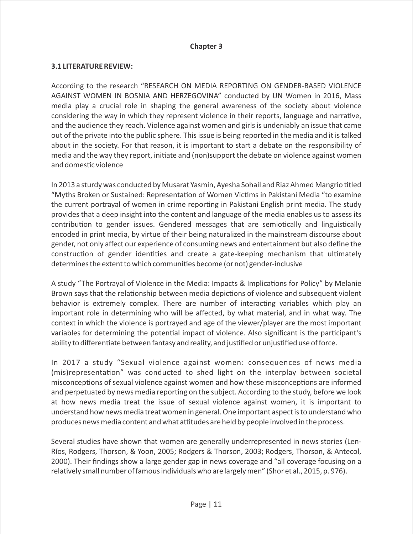#### **Chapter 3**

#### **3.1 LITERATURE REVIEW:**

According to the research "RESEARCH ON MEDIA REPORTING ON GENDER-BASED VIOLENCE AGAINST WOMEN IN BOSNIA AND HERZEGOVINA" conducted by UN Women in 2016, Mass media play a crucial role in shaping the general awareness of the society about violence considering the way in which they represent violence in their reports, language and narrative, and the audience they reach. Violence against women and girls is undeniably an issue that came out of the private into the public sphere. This issue is being reported in the media and it is talked about in the society. For that reason, it is important to start a debate on the responsibility of media and the way they report, initiate and (non)support the debate on violence against women and domestic violence

In 2013 a sturdy was conducted by Musarat Yasmin, Ayesha Sohail and Riaz Ahmed Mangrio titled "Myths Broken or Sustained: Representation of Women Victims in Pakistani Media "to examine the current portrayal of women in crime reporting in Pakistani English print media. The study provides that a deep insight into the content and language of the media enables us to assess its contribution to gender issues. Gendered messages that are semiotically and linguistically encoded in print media, by virtue of their being naturalized in the mainstream discourse about gender, not only affect our experience of consuming news and entertainment but also define the construction of gender identities and create a gate-keeping mechanism that ultimately determines the extent to which communities become (or not) gender-inclusive

A study "The Portrayal of Violence in the Media: Impacts & Implications for Policy" by Melanie Brown says that the relationship between media depictions of violence and subsequent violent behavior is extremely complex. There are number of interacting variables which play an important role in determining who will be affected, by what material, and in what way. The context in which the violence is portrayed and age of the viewer/player are the most important variables for determining the potential impact of violence. Also significant is the participant's ability to differentiate between fantasy and reality, and justified or unjustified use of force.

In 2017 a study "Sexual violence against women: consequences of news media (mis)representation" was conducted to shed light on the interplay between societal misconceptions of sexual violence against women and how these misconceptions are informed and perpetuated by news media reporting on the subject. According to the study, before we look at how news media treat the issue of sexual violence against women, it is important to understand how news media treat women in general. One important aspect is to understand who produces news media content and what attitudes are held by people involved in the process.

Several studies have shown that women are generally underrepresented in news stories (Len-Ríos, Rodgers, Thorson, & Yoon, 2005; Rodgers & Thorson, 2003; Rodgers, Thorson, & Antecol, 2000). Their findings show a large gender gap in news coverage and "all coverage focusing on a relatively small number of famous individuals who are largely men" (Shor et al., 2015, p. 976).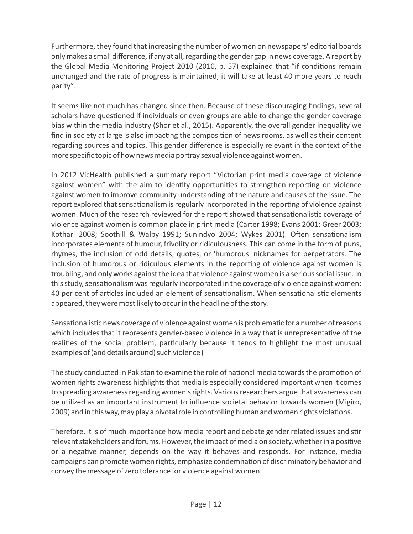Furthermore, they found that increasing the number of women on newspapers' editorial boards only makes a small difference, if any at all, regarding the gender gap in news coverage. A report by the Global Media Monitoring Project 2010 (2010, p. 57) explained that "if conditions remain unchanged and the rate of progress is maintained, it will take at least 40 more years to reach parity".

It seems like not much has changed since then. Because of these discouraging findings, several scholars have questioned if individuals or even groups are able to change the gender coverage bias within the media industry (Shor et al., 2015). Apparently, the overall gender inequality we find in society at large is also impacting the composition of news rooms, as well as their content regarding sources and topics. This gender difference is especially relevant in the context of the more specific topic of how news media portray sexual violence against women.

In 2012 VicHealth published a summary report "Victorian print media coverage of violence against women" with the aim to identify opportunities to strengthen reporting on violence against women to improve community understanding of the nature and causes of the issue. The report explored that sensationalism is regularly incorporated in the reporting of violence against women. Much of the research reviewed for the report showed that sensationalistic coverage of violence against women is common place in print media (Carter 1998; Evans 2001; Greer 2003; Kothari 2008; Soothill & Walby 1991; Sunindyo 2004; Wykes 2001). Often sensationalism incorporates elements of humour, frivolity or ridiculousness. This can come in the form of puns, rhymes, the inclusion of odd details, quotes, or 'humorous' nicknames for perpetrators. The inclusion of humorous or ridiculous elements in the reporting of violence against women is troubling, and only works against the idea that violence against women is a serious social issue. In this study, sensationalism was regularly incorporated in the coverage of violence against women: 40 per cent of articles included an element of sensationalism. When sensationalistic elements appeared, they were most likely to occur in the headline of the story.

Sensationalistic news coverage of violence against women is problematic for a number of reasons which includes that it represents gender-based violence in a way that is unrepresentative of the realities of the social problem, particularly because it tends to highlight the most unusual examples of (and details around) such violence (

The study conducted in Pakistan to examine the role of national media towards the promotion of women rights awareness highlights that media is especially considered important when it comes to spreading awareness regarding women's rights. Various researchers argue that awareness can be utilized as an important instrument to influence societal behavior towards women (Migiro, 2009) and in this way, may play a pivotal role in controlling human and women rights violations.

Therefore, it is of much importance how media report and debate gender related issues and stir relevant stakeholders and forums. However, the impact of media on society, whether in a positive or a negative manner, depends on the way it behaves and responds. For instance, media campaigns can promote women rights, emphasize condemnation of discriminatory behavior and convey the message of zero tolerance for violence against women.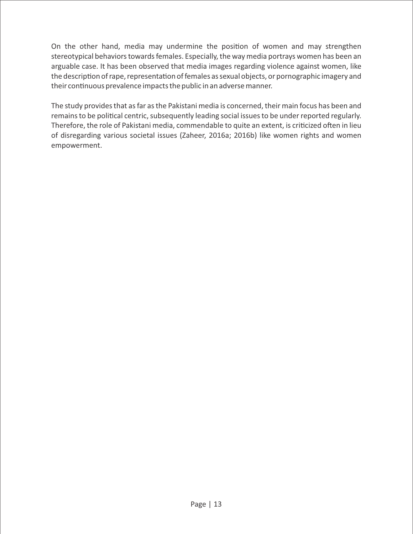On the other hand, media may undermine the position of women and may strengthen stereotypical behaviors towards females. Especially, the way media portrays women has been an arguable case. It has been observed that media images regarding violence against women, like the description of rape, representation of females as sexual objects, or pornographic imagery and their continuous prevalence impacts the public in an adverse manner.

The study provides that as far as the Pakistani media is concerned, their main focus has been and remains to be political centric, subsequently leading social issues to be under reported regularly. Therefore, the role of Pakistani media, commendable to quite an extent, is criticized often in lieu of disregarding various societal issues (Zaheer, 2016a; 2016b) like women rights and women empowerment.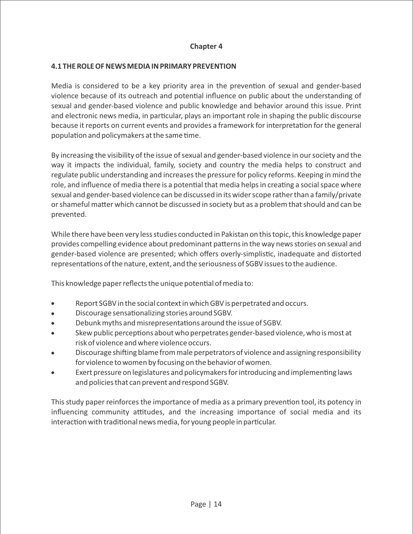#### **Chapter 4**

#### **4.1 THE ROLE OF NEWS MEDIA IN PRIMARY PREVENTION**

Media is considered to be a key priority area in the prevention of sexual and gender-based violence because of its outreach and potential influence on public about the understanding of sexual and gender-based violence and public knowledge and behavior around this issue. Print and electronic news media, in particular, plays an important role in shaping the public discourse because it reports on current events and provides a framework for interpretation for the general population and policymakers at the same time.

By increasing the visibility of the issue of sexual and gender-based violence in our society and the way it impacts the individual, family, society and country the media helps to construct and regulate public understanding and increases the pressure for policy reforms. Keeping in mind the role, and influence of media there is a potential that media helps in creating a social space where sexual and gender-based violence can be discussed in its wider scope rather than a family/private or shameful matter which cannot be discussed in society but as a problem that should and can be prevented.

While there have been very less studies conducted in Pakistan on this topic, this knowledge paper provides compelling evidence about predominant patterns in the way news stories on sexual and gender-based violence are presented; which offers overly-simplistic, inadequate and distorted representations of the nature, extent, and the seriousness of SGBV issues to the audience.

This knowledge paper reflects the unique potential of media to:

- · Report SGBV in the social context in which GBV is perpetrated and occurs.
- Discourage sensationalizing stories around SGBV.
- Debunk myths and misrepresentations around the issue of SGBV.
- Skew public perceptions about who perpetrates gender-based violence, who is most at risk of violence and where violence occurs.
- Discourage shifting blame from male perpetrators of violence and assigning responsibility for violence to women by focusing on the behavior of women.
- Exert pressure on legislatures and policymakers for introducing and implementing laws and policies that can prevent and respond SGBV.

This study paper reinforces the importance of media as a primary prevention tool, its potency in influencing community attitudes, and the increasing importance of social media and its interaction with traditional news media, for young people in particular.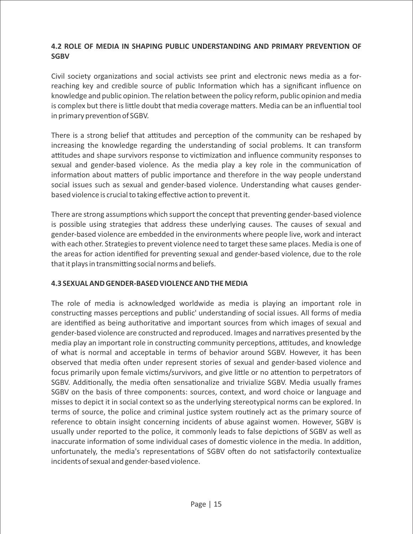#### **4.2 ROLE OF MEDIA IN SHAPING PUBLIC UNDERSTANDING AND PRIMARY PREVENTION OF SGBV**

Civil society organizations and social activists see print and electronic news media as a forreaching key and credible source of public Information which has a significant influence on knowledge and public opinion. The relation between the policy reform, public opinion and media is complex but there is little doubt that media coverage matters. Media can be an influential tool in primary prevention of SGBV.

There is a strong belief that attitudes and perception of the community can be reshaped by increasing the knowledge regarding the understanding of social problems. It can transform attitudes and shape survivors response to victimization and influence community responses to sexual and gender-based violence. As the media play a key role in the communication of information about matters of public importance and therefore in the way people understand social issues such as sexual and gender-based violence. Understanding what causes genderbased violence is crucial to taking effective action to prevent it.

There are strong assumptions which support the concept that preventing gender-based violence is possible using strategies that address these underlying causes. The causes of sexual and gender-based violence are embedded in the environments where people live, work and interact with each other. Strategies to prevent violence need to target these same places. Media is one of the areas for action identified for preventing sexual and gender-based violence, due to the role that it plays in transmitting social norms and beliefs.

#### **4.3 SEXUAL AND GENDER-BASED VIOLENCE AND THE MEDIA**

The role of media is acknowledged worldwide as media is playing an important role in constructing masses perceptions and public' understanding of social issues. All forms of media are identified as being authoritative and important sources from which images of sexual and gender-based violence are constructed and reproduced. Images and narratives presented by the media play an important role in constructing community perceptions, attitudes, and knowledge of what is normal and acceptable in terms of behavior around SGBV. However, it has been observed that media often under represent stories of sexual and gender-based violence and focus primarily upon female victims/survivors, and give little or no attention to perpetrators of SGBV. Additionally, the media often sensationalize and trivialize SGBV. Media usually frames SGBV on the basis of three components: sources, context, and word choice or language and misses to depict it in social context so as the underlying stereotypical norms can be explored. In terms of source, the police and criminal justice system routinely act as the primary source of reference to obtain insight concerning incidents of abuse against women. However, SGBV is usually under reported to the police, it commonly leads to false depictions of SGBV as well as inaccurate information of some individual cases of domestic violence in the media. In addition, unfortunately, the media's representations of SGBV often do not satisfactorily contextualize incidents of sexual and gender-based violence.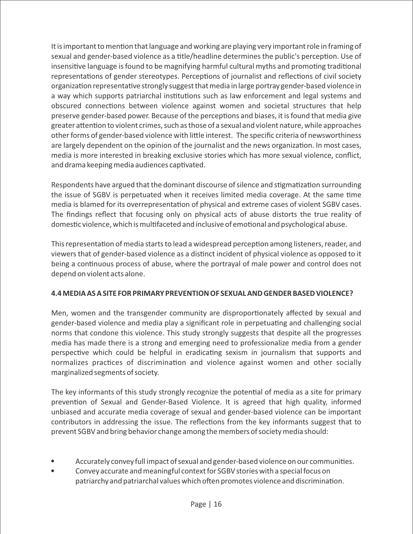It is important to mention that language and working are playing very important role in framing of sexual and gender-based violence as a title/headline determines the public's perception. Use of insensitive language is found to be magnifying harmful cultural myths and promoting traditional representations of gender stereotypes. Perceptions of journalist and reflections of civil society organization representative strongly suggest that media in large portray gender-based violence in a way which supports patriarchal institutions such as law enforcement and legal systems and obscured connections between violence against women and societal structures that help preserve gender-based power. Because of the perceptions and biases, it is found that media give greater attention to violent crimes, such as those of a sexual and violent nature, while approaches other forms of gender-based violence with little interest. The specific criteria of newsworthiness are largely dependent on the opinion of the journalist and the news organization. In most cases, media is more interested in breaking exclusive stories which has more sexual violence, conflict, and drama keeping media audiences captivated.

Respondents have argued that the dominant discourse of silence and stigmatization surrounding the issue of SGBV is perpetuated when it receives limited media coverage. At the same time media is blamed for its overrepresentation of physical and extreme cases of violent SGBV cases. The findings reflect that focusing only on physical acts of abuse distorts the true reality of domestic violence, which is multifaceted and inclusive of emotional and psychological abuse.

This representation of media starts to lead a widespread perception among listeners, reader, and viewers that of gender-based violence as a distinct incident of physical violence as opposed to it being a continuous process of abuse, where the portrayal of male power and control does not depend on violent acts alone.

#### **4.4 MEDIA AS A SITE FOR PRIMARY PREVENTION OF SEXUAL AND GENDER BASED VIOLENCE?**

Men, women and the transgender community are disproportionately affected by sexual and gender-based violence and media play a significant role in perpetuating and challenging social norms that condone this violence. This study strongly suggests that despite all the progresses media has made there is a strong and emerging need to professionalize media from a gender perspective which could be helpful in eradicating sexism in journalism that supports and normalizes practices of discrimination and violence against women and other socially marginalized segments of society.

The key informants of this study strongly recognize the potential of media as a site for primary prevention of Sexual and Gender-Based Violence. It is agreed that high quality, informed unbiased and accurate media coverage of sexual and gender-based violence can be important contributors in addressing the issue. The reflections from the key informants suggest that to prevent SGBV and bring behavior change among the members of society media should:

- Accurately convey full impact of sexual and gender-based violence on our communities.
- Convey accurate and meaningful context for SGBV stories with a special focus on patriarchy and patriarchal values which often promotes violence and discrimination.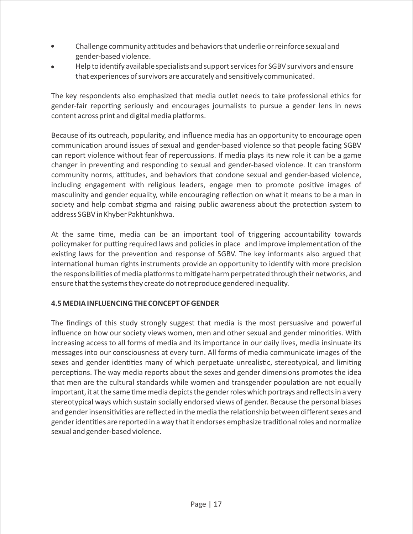- Challenge community attitudes and behaviors that underlie or reinforce sexual and gender-based violence.
- Help to identify available specialists and support services for SGBV survivors and ensure that experiences of survivors are accurately and sensitively communicated.

The key respondents also emphasized that media outlet needs to take professional ethics for gender-fair reporting seriously and encourages journalists to pursue a gender lens in news content across print and digital media platforms.

Because of its outreach, popularity, and influence media has an opportunity to encourage open communication around issues of sexual and gender-based violence so that people facing SGBV can report violence without fear of repercussions. If media plays its new role it can be a game changer in preventing and responding to sexual and gender-based violence. It can transform community norms, attitudes, and behaviors that condone sexual and gender-based violence, including engagement with religious leaders, engage men to promote positive images of masculinity and gender equality, while encouraging reflection on what it means to be a man in society and help combat stigma and raising public awareness about the protection system to address SGBV in Khyber Pakhtunkhwa.

At the same time, media can be an important tool of triggering accountability towards policymaker for putting required laws and policies in place and improve implementation of the existing laws for the prevention and response of SGBV. The key informants also argued that international human rights instruments provide an opportunity to identify with more precision the responsibilities of media platforms to mitigate harm perpetrated through their networks, and ensure that the systems they create do not reproduce gendered inequality.

#### **4.5 MEDIA INFLUENCING THE CONCEPT OF GENDER**

The findings of this study strongly suggest that media is the most persuasive and powerful influence on how our society views women, men and other sexual and gender minorities. With increasing access to all forms of media and its importance in our daily lives, media insinuate its messages into our consciousness at every turn. All forms of media communicate images of the sexes and gender identities many of which perpetuate unrealistic, stereotypical, and limiting perceptions. The way media reports about the sexes and gender dimensions promotes the idea that men are the cultural standards while women and transgender population are not equally important, it at the same time media depicts the gender roles which portrays and reflects in a very stereotypical ways which sustain socially endorsed views of gender. Because the personal biases and gender insensitivities are reflected in the media the relationship between different sexes and gender identities are reported in a way that it endorses emphasize traditional roles and normalize sexual and gender-based violence.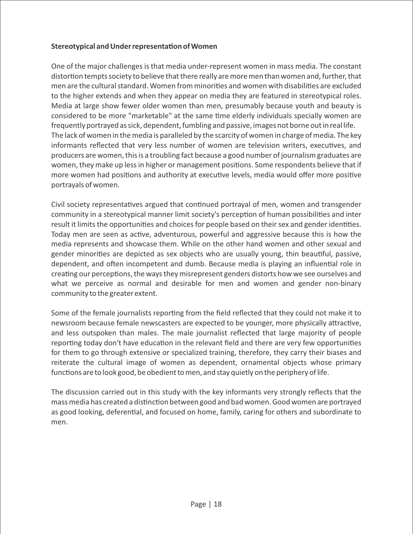#### **Stereotypical and Under representation of Women**

One of the major challenges is that media under-represent women in mass media. The constant distortion tempts society to believe that there really are more men than women and, further, that men are the cultural standard. Women from minorities and women with disabilities are excluded to the higher extends and when they appear on media they are featured in stereotypical roles. Media at large show fewer older women than men, presumably because youth and beauty is considered to be more "marketable" at the same time elderly individuals specially women are frequently portrayed as sick, dependent, fumbling and passive, images not borne out in real life. The lack of women in the media is paralleled by the scarcity of women in charge of media. The key informants reflected that very less number of women are television writers, executives, and producers are women, this is a troubling fact because a good number of journalism graduates are women, they make up less in higher or management positions. Some respondents believe that if more women had positions and authority at executive levels, media would offer more positive portrayals of women.

Civil society representatives argued that continued portrayal of men, women and transgender community in a stereotypical manner limit society's perception of human possibilities and inter result it limits the opportunities and choices for people based on their sex and gender identities. Today men are seen as active, adventurous, powerful and aggressive because this is how the media represents and showcase them. While on the other hand women and other sexual and gender minorities are depicted as sex objects who are usually young, thin beautiful, passive, dependent, and often incompetent and dumb. Because media is playing an influential role in creating our perceptions, the ways they misrepresent genders distorts how we see ourselves and what we perceive as normal and desirable for men and women and gender non-binary community to the greater extent.

Some of the female journalists reporting from the field reflected that they could not make it to newsroom because female newscasters are expected to be younger, more physically attractive, and less outspoken than males. The male journalist reflected that large majority of people reporting today don't have education in the relevant field and there are very few opportunities for them to go through extensive or specialized training, therefore, they carry their biases and reiterate the cultural image of women as dependent, ornamental objects whose primary functions are to look good, be obedient to men, and stay quietly on the periphery of life.

The discussion carried out in this study with the key informants very strongly reflects that the mass media has created a distinction between good and bad women. Good women are portrayed as good looking, deferential, and focused on home, family, caring for others and subordinate to men.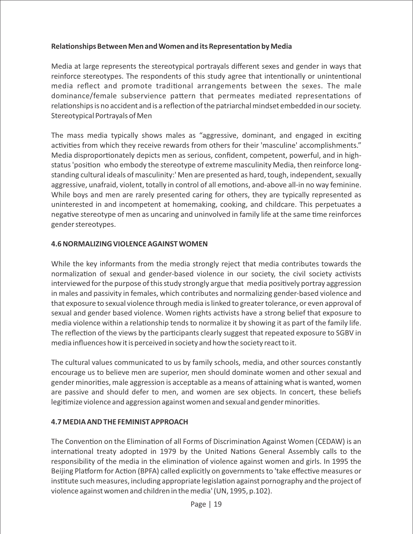#### **Relationships Between Men and Women and its Representation by Media**

Media at large represents the stereotypical portrayals different sexes and gender in ways that reinforce stereotypes. The respondents of this study agree that intentionally or unintentional media reflect and promote traditional arrangements between the sexes. The male dominance/female subservience pattern that permeates mediated representations of relationships is no accident and is a reflection of the patriarchal mindset embedded in our society. Stereotypical Portrayals of Men

The mass media typically shows males as "aggressive, dominant, and engaged in exciting activities from which they receive rewards from others for their 'masculine' accomplishments." Media disproportionately depicts men as serious, confident, competent, powerful, and in highstatus 'position who embody the stereotype of extreme masculinity Media, then reinforce longstanding cultural ideals of masculinity:' Men are presented as hard, tough, independent, sexually aggressive, unafraid, violent, totally in control of all emotions, and-above all-in no way feminine. While boys and men are rarely presented caring for others, they are typically represented as uninterested in and incompetent at homemaking, cooking, and childcare. This perpetuates a negative stereotype of men as uncaring and uninvolved in family life at the same time reinforces gender stereotypes.

#### **4.6 NORMALIZING VIOLENCE AGAINST WOMEN**

While the key informants from the media strongly reject that media contributes towards the normalization of sexual and gender-based violence in our society, the civil society activists interviewed for the purpose of this study strongly argue that media positively portray aggression in males and passivity in females, which contributes and normalizing gender-based violence and that exposure to sexual violence through media is linked to greater tolerance, or even approval of sexual and gender based violence. Women rights activists have a strong belief that exposure to media violence within a relationship tends to normalize it by showing it as part of the family life. The reflection of the views by the participants clearly suggest that repeated exposure to SGBV in media influences how it is perceived in society and how the society react to it.

The cultural values communicated to us by family schools, media, and other sources constantly encourage us to believe men are superior, men should dominate women and other sexual and gender minorities, male aggression is acceptable as a means of attaining what is wanted, women are passive and should defer to men, and women are sex objects. In concert, these beliefs legitimize violence and aggression against women and sexual and gender minorities.

#### **4.7 MEDIA AND THE FEMINIST APPROACH**

The Convention on the Elimination of all Forms of Discrimination Against Women (CEDAW) is an international treaty adopted in 1979 by the United Nations General Assembly calls to the responsibility of the media in the elimination of violence against women and girls. In 1995 the Beijing Platform for Action (BPFA) called explicitly on governments to 'take effective measures or institute such measures, including appropriate legislation against pornography and the project of violence against women and children in the media' (UN, 1995, p.102).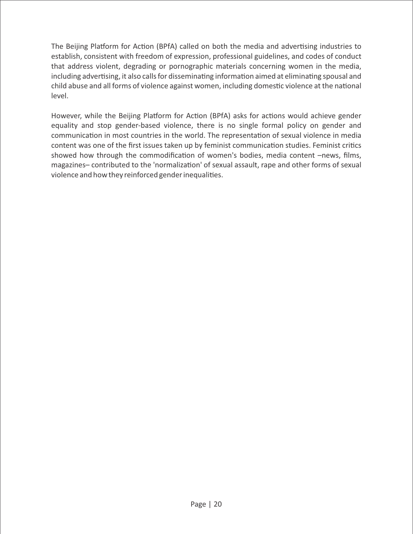The Beijing Platform for Action (BPfA) called on both the media and advertising industries to establish, consistent with freedom of expression, professional guidelines, and codes of conduct that address violent, degrading or pornographic materials concerning women in the media, including advertising, it also calls for disseminating information aimed at eliminating spousal and child abuse and all forms of violence against women, including domestic violence at the national level.

However, while the Beijing Platform for Action (BPfA) asks for actions would achieve gender equality and stop gender-based violence, there is no single formal policy on gender and communication in most countries in the world. The representation of sexual violence in media content was one of the first issues taken up by feminist communication studies. Feminist critics showed how through the commodification of women's bodies, media content –news, films, magazines-contributed to the 'normalization' of sexual assault, rape and other forms of sexual violence and how they reinforced gender inequalities.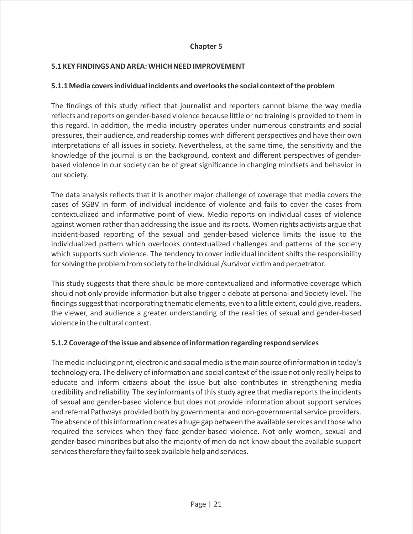#### **Chapter 5**

#### **5.1 KEY FINDINGS AND AREA: WHICH NEED IMPROVEMENT**

#### **5.1.1 Media covers individual incidents and overlooks the social context of the problem**

The findings of this study reflect that journalist and reporters cannot blame the way media reflects and reports on gender-based violence because little or no training is provided to them in this regard. In addition, the media industry operates under numerous constraints and social pressures, their audience, and readership comes with different perspectives and have their own interpretations of all issues in society. Nevertheless, at the same time, the sensitivity and the knowledge of the journal is on the background, context and different perspectives of genderbased violence in our society can be of great significance in changing mindsets and behavior in our society.

The data analysis reflects that it is another major challenge of coverage that media covers the cases of SGBV in form of individual incidence of violence and fails to cover the cases from contextualized and informative point of view. Media reports on individual cases of violence against women rather than addressing the issue and its roots. Women rights activists argue that incident-based reporting of the sexual and gender-based violence limits the issue to the individualized pattern which overlooks contextualized challenges and patterns of the society which supports such violence. The tendency to cover individual incident shifts the responsibility for solving the problem from society to the individual /survivor victim and perpetrator.

This study suggests that there should be more contextualized and informative coverage which should not only provide information but also trigger a debate at personal and Society level. The findings suggest that incorporating thematic elements, even to a little extent, could give, readers, the viewer, and audience a greater understanding of the realities of sexual and gender-based violence in the cultural context.

#### **5.1.2 Coverage of the issue and absence of information regarding respond services**

The media including print, electronic and social media is the main source of information in today's technology era. The delivery of information and social context of the issue not only really helps to educate and inform citizens about the issue but also contributes in strengthening media credibility and reliability. The key informants of this study agree that media reports the incidents of sexual and gender-based violence but does not provide information about support services and referral Pathways provided both by governmental and non-governmental service providers. The absence of this information creates a huge gap between the available services and those who required the services when they face gender-based violence. Not only women, sexual and gender-based minorities but also the majority of men do not know about the available support services therefore they fail to seek available help and services.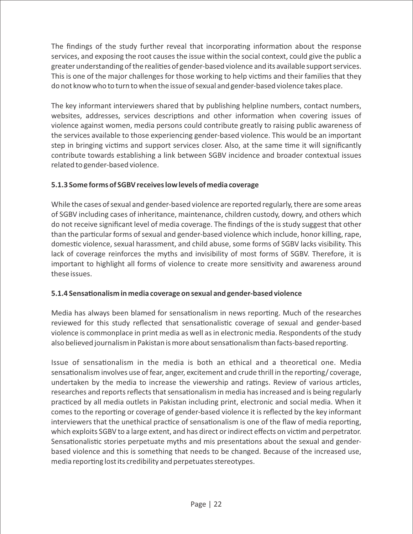The findings of the study further reveal that incorporating information about the response services, and exposing the root causes the issue within the social context, could give the public a greater understanding of the realities of gender-based violence and its available support services. This is one of the major challenges for those working to help victims and their families that they do not know who to turn to when the issue of sexual and gender-based violence takes place.

The key informant interviewers shared that by publishing helpline numbers, contact numbers, websites, addresses, services descriptions and other information when covering issues of violence against women, media persons could contribute greatly to raising public awareness of the services available to those experiencing gender-based violence. This would be an important step in bringing victims and support services closer. Also, at the same time it will significantly contribute towards establishing a link between SGBV incidence and broader contextual issues related to gender-based violence.

## **5.1.3 Some forms of SGBV receives low levels of media coverage**

While the cases of sexual and gender-based violence are reported regularly, there are some areas of SGBV including cases of inheritance, maintenance, children custody, dowry, and others which do not receive significant level of media coverage. The findings of the is study suggest that other than the particular forms of sexual and gender-based violence which include, honor killing, rape, domestic violence, sexual harassment, and child abuse, some forms of SGBV lacks visibility. This lack of coverage reinforces the myths and invisibility of most forms of SGBV. Therefore, it is important to highlight all forms of violence to create more sensitivity and awareness around these issues.

#### **5.1.4 Sensationalism in media coverage on sexual and gender-based violence**

Media has always been blamed for sensationalism in news reporting. Much of the researches reviewed for this study reflected that sensationalistic coverage of sexual and gender-based violence is commonplace in print media as well as in electronic media. Respondents of the study also believed journalism in Pakistan is more about sensationalism than facts-based reporting.

Issue of sensationalism in the media is both an ethical and a theoretical one. Media sensationalism involves use of fear, anger, excitement and crude thrill in the reporting/ coverage, undertaken by the media to increase the viewership and ratings. Review of various articles, researches and reports reflects that sensationalism in media has increased and is being regularly practiced by all media outlets in Pakistan including print, electronic and social media. When it comes to the reporting or coverage of gender-based violence it is reflected by the key informant interviewers that the unethical practice of sensationalism is one of the flaw of media reporting, which exploits SGBV to a large extent, and has direct or indirect effects on victim and perpetrator. Sensationalistic stories perpetuate myths and mis presentations about the sexual and genderbased violence and this is something that needs to be changed. Because of the increased use, media reporting lost its credibility and perpetuates stereotypes.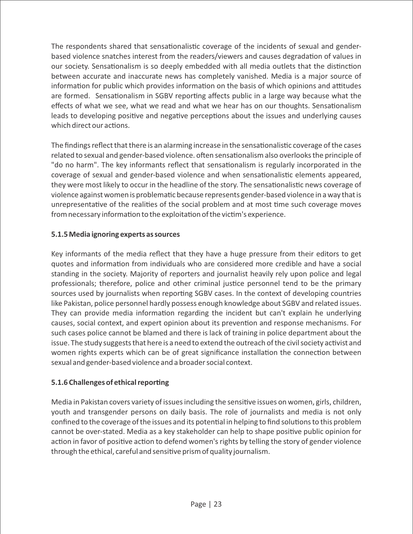The respondents shared that sensationalistic coverage of the incidents of sexual and genderbased violence snatches interest from the readers/viewers and causes degradation of values in our society. Sensationalism is so deeply embedded with all media outlets that the distinction between accurate and inaccurate news has completely vanished. Media is a major source of information for public which provides information on the basis of which opinions and attitudes are formed. Sensationalism in SGBV reporting affects public in a large way because what the effects of what we see, what we read and what we hear has on our thoughts. Sensationalism leads to developing positive and negative perceptions about the issues and underlying causes which direct our actions.

The findings reflect that there is an alarming increase in the sensationalistic coverage of the cases related to sexual and gender-based violence. often sensationalism also overlooks the principle of "do no harm". The key informants reflect that sensationalism is regularly incorporated in the coverage of sexual and gender-based violence and when sensationalistic elements appeared, they were most likely to occur in the headline of the story. The sensationalistic news coverage of violence against women is problematic because represents gender-based violence in a way that is unrepresentative of the realities of the social problem and at most time such coverage moves from necessary information to the exploitation of the victim's experience.

#### **5.1.5 Media ignoring experts as sources**

Key informants of the media reflect that they have a huge pressure from their editors to get quotes and information from individuals who are considered more credible and have a social standing in the society. Majority of reporters and journalist heavily rely upon police and legal professionals; therefore, police and other criminal justice personnel tend to be the primary sources used by journalists when reporting SGBV cases. In the context of developing countries like Pakistan, police personnel hardly possess enough knowledge about SGBV and related issues. They can provide media information regarding the incident but can't explain he underlying causes, social context, and expert opinion about its prevention and response mechanisms. For such cases police cannot be blamed and there is lack of training in police department about the issue. The study suggests that here is a need to extend the outreach of the civil society activist and women rights experts which can be of great significance installation the connection between sexual and gender-based violence and a broader social context.

#### **5.1.6 Challenges of ethical reporting**

Media in Pakistan covers variety of issues including the sensitive issues on women, girls, children, youth and transgender persons on daily basis. The role of journalists and media is not only confined to the coverage of the issues and its potential in helping to find solutions to this problem cannot be over-stated. Media as a key stakeholder can help to shape positive public opinion for action in favor of positive action to defend women's rights by telling the story of gender violence through the ethical, careful and sensitive prism of quality journalism.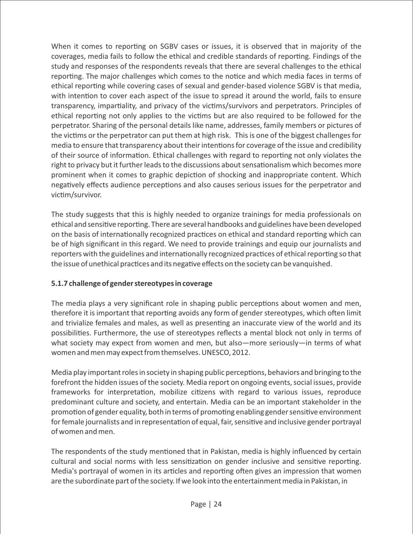When it comes to reporting on SGBV cases or issues, it is observed that in majority of the coverages, media fails to follow the ethical and credible standards of reporting. Findings of the study and responses of the respondents reveals that there are several challenges to the ethical reporting. The major challenges which comes to the notice and which media faces in terms of ethical reporting while covering cases of sexual and gender-based violence SGBV is that media, with intention to cover each aspect of the issue to spread it around the world, fails to ensure transparency, impartiality, and privacy of the victims/survivors and perpetrators. Principles of ethical reporting not only applies to the victims but are also required to be followed for the perpetrator. Sharing of the personal details like name, addresses, family members or pictures of the victims or the perpetrator can put them at high risk. This is one of the biggest challenges for media to ensure that transparency about their intentions for coverage of the issue and credibility of their source of information. Ethical challenges with regard to reporting not only violates the right to privacy but it further leads to the discussions about sensationalism which becomes more prominent when it comes to graphic depiction of shocking and inappropriate content. Which negatively effects audience perceptions and also causes serious issues for the perpetrator and victim/survivor.

The study suggests that this is highly needed to organize trainings for media professionals on ethical and sensitive reporting. There are several handbooks and guidelines have been developed on the basis of internationally recognized practices on ethical and standard reporting which can be of high significant in this regard. We need to provide trainings and equip our journalists and reporters with the guidelines and internationally recognized practices of ethical reporting so that the issue of unethical practices and its negative effects on the society can be vanquished.

#### **5.1.7 challenge of gender stereotypes in coverage**

The media plays a very significant role in shaping public perceptions about women and men, therefore it is important that reporting avoids any form of gender stereotypes, which often limit and trivialize females and males, as well as presenting an inaccurate view of the world and its possibilities. Furthermore, the use of stereotypes reflects a mental block not only in terms of what society may expect from women and men, but also—more seriously—in terms of what women and men may expect from themselves. UNESCO, 2012.

Media play important roles in society in shaping public perceptions, behaviors and bringing to the forefront the hidden issues of the society. Media report on ongoing events, social issues, provide frameworks for interpretation, mobilize citizens with regard to various issues, reproduce predominant culture and society, and entertain. Media can be an important stakeholder in the promotion of gender equality, both in terms of promoting enabling gender sensitive environment for female journalists and in representation of equal, fair, sensitive and inclusive gender portrayal of women and men.

The respondents of the study mentioned that in Pakistan, media is highly influenced by certain cultural and social norms with less sensitization on gender inclusive and sensitive reporting. Media's portrayal of women in its articles and reporting often gives an impression that women are the subordinate part of the society. If we look into the entertainment media in Pakistan, in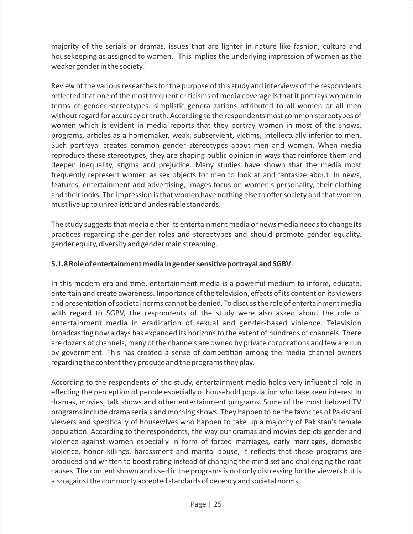majority of the serials or dramas, issues that are lighter in nature like fashion, culture and housekeeping as assigned to women. This implies the underlying impression of women as the weaker gender in the society.

Review of the various researches for the purpose of this study and interviews of the respondents reflected that one of the most frequent criticisms of media coverage is that it portrays women in terms of gender stereotypes: simplistic generalizations attributed to all women or all men without regard for accuracy or truth. According to the respondents most common stereotypes of women which is evident in media reports that they portray women in most of the shows, programs, articles as a homemaker, weak, subservient, victims, intellectually inferior to men. Such portrayal creates common gender stereotypes about men and women. When media reproduce these stereotypes, they are shaping public opinion in ways that reinforce them and deepen inequality, stigma and prejudice. Many studies have shown that the media most frequently represent women as sex objects for men to look at and fantasize about. In news, features, entertainment and advertising, images focus on women's personality, their clothing and their looks. The impression is that women have nothing else to offer society and that women must live up to unrealistic and undesirable standards.

The study suggests that media either its entertainment media or news media needs to change its practices regarding the gender roles and stereotypes and should promote gender equality, gender equity, diversity and gender main streaming.

#### **5.1.8 Role of entertainment media in gender sensive portrayal and SGBV**

In this modern era and time, entertainment media is a powerful medium to inform, educate, entertain and create awareness. Importance of the television, effects of its content on its viewers and presentation of societal norms cannot be denied. To discuss the role of entertainment media with regard to SGBV, the respondents of the study were also asked about the role of entertainment media in eradication of sexual and gender-based violence. Television broadcasting now a days has expanded its horizons to the extent of hundreds of channels. There are dozens of channels, many of the channels are owned by private corporations and few are run by government. This has created a sense of competition among the media channel owners regarding the content they produce and the programs they play.

According to the respondents of the study, entertainment media holds very influential role in effecting the perception of people especially of household population who take keen interest in dramas, movies, talk shows and other entertainment programs. Some of the most beloved TV programs include drama serials and morning shows. They happen to be the favorites of Pakistani viewers and specifically of housewives who happen to take up a majority of Pakistan's female population. According to the respondents, the way our dramas and movies depicts gender and violence against women especially in form of forced marriages, early marriages, domestic violence, honor killings, harassment and marital abuse, it reflects that these programs are produced and written to boost rating instead of changing the mind set and challenging the root causes. The content shown and used in the programs is not only distressing for the viewers but is also against the commonly accepted standards of decency and societal norms.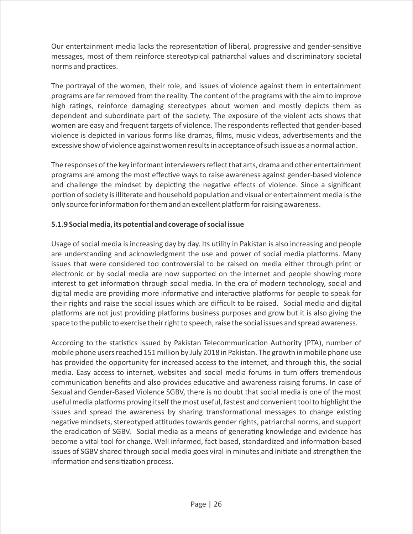Our entertainment media lacks the representation of liberal, progressive and gender-sensitive messages, most of them reinforce stereotypical patriarchal values and discriminatory societal norms and practices.

The portrayal of the women, their role, and issues of violence against them in entertainment programs are far removed from the reality. The content of the programs with the aim to improve high ratings, reinforce damaging stereotypes about women and mostly depicts them as dependent and subordinate part of the society. The exposure of the violent acts shows that women are easy and frequent targets of violence. The respondents reflected that gender-based violence is depicted in various forms like dramas, films, music videos, advertisements and the excessive show of violence against women results in acceptance of such issue as a normal action.

The responses of the key informant interviewers reflect that arts, drama and other entertainment programs are among the most effective ways to raise awareness against gender-based violence and challenge the mindset by depicting the negative effects of violence. Since a significant portion of society is illiterate and household population and visual or entertainment media is the only source for information for them and an excellent platform for raising awareness.

#### **5.1.9 Social media, its potential and coverage of social issue**

Usage of social media is increasing day by day. Its utility in Pakistan is also increasing and people are understanding and acknowledgment the use and power of social media platforms. Many issues that were considered too controversial to be raised on media either through print or electronic or by social media are now supported on the internet and people showing more interest to get information through social media. In the era of modern technology, social and digital media are providing more informative and interactive platforms for people to speak for their rights and raise the social issues which are difficult to be raised. Social media and digital platforms are not just providing platforms business purposes and grow but it is also giving the space to the public to exercise their right to speech, raise the social issues and spread awareness.

According to the statistics issued by Pakistan Telecommunication Authority (PTA), number of mobile phone users reached 151 million by July 2018 in Pakistan. The growth in mobile phone use has provided the opportunity for increased access to the internet, and through this, the social media. Easy access to internet, websites and social media forums in turn offers tremendous communication benefits and also provides educative and awareness raising forums. In case of Sexual and Gender-Based Violence SGBV, there is no doubt that social media is one of the most useful media platforms proving itself the most useful, fastest and convenient tool to highlight the issues and spread the awareness by sharing transformational messages to change existing negative mindsets, stereotyped attitudes towards gender rights, patriarchal norms, and support the eradication of SGBV. Social media as a means of generating knowledge and evidence has become a vital tool for change. Well informed, fact based, standardized and information-based issues of SGBV shared through social media goes viral in minutes and initiate and strengthen the information and sensitization process.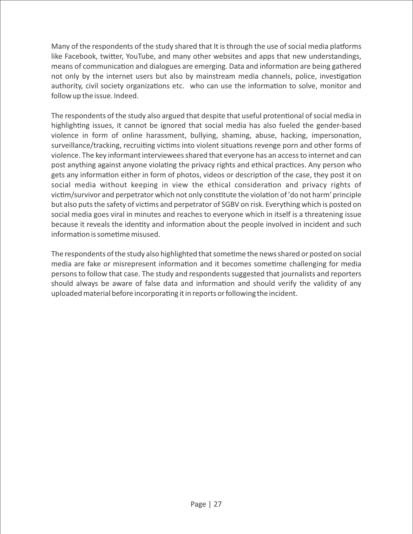Many of the respondents of the study shared that It is through the use of social media platforms like Facebook, twitter, YouTube, and many other websites and apps that new understandings, means of communication and dialogues are emerging. Data and information are being gathered not only by the internet users but also by mainstream media channels, police, investigation authority, civil society organizations etc. who can use the information to solve, monitor and follow up the issue. Indeed.

The respondents of the study also argued that despite that useful protentional of social media in highlighting issues, it cannot be ignored that social media has also fueled the gender-based violence in form of online harassment, bullying, shaming, abuse, hacking, impersonation, surveillance/tracking, recruiting victims into violent situations revenge porn and other forms of violence. The key informant interviewees shared that everyone has an access to internet and can post anything against anyone violating the privacy rights and ethical practices. Any person who gets any information either in form of photos, videos or description of the case, they post it on social media without keeping in view the ethical consideration and privacy rights of victim/survivor and perpetrator which not only constitute the violation of 'do not harm' principle but also puts the safety of victims and perpetrator of SGBV on risk. Everything which is posted on social media goes viral in minutes and reaches to everyone which in itself is a threatening issue because it reveals the identity and information about the people involved in incident and such information is sometime misused.

The respondents of the study also highlighted that sometime the news shared or posted on social media are fake or misrepresent information and it becomes sometime challenging for media persons to follow that case. The study and respondents suggested that journalists and reporters should always be aware of false data and information and should verify the validity of any uploaded material before incorporating it in reports or following the incident.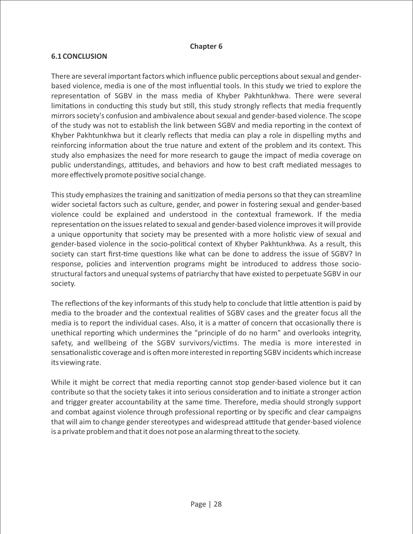#### **Chapter 6**

#### **6.1 CONCLUSION**

There are several important factors which influence public perceptions about sexual and genderbased violence, media is one of the most influential tools. In this study we tried to explore the representation of SGBV in the mass media of Khyber Pakhtunkhwa. There were several limitations in conducting this study but still, this study strongly reflects that media frequently mirrors society's confusion and ambivalence about sexual and gender-based violence. The scope of the study was not to establish the link between SGBV and media reporting in the context of Khyber Pakhtunkhwa but it clearly reflects that media can play a role in dispelling myths and reinforcing information about the true nature and extent of the problem and its context. This study also emphasizes the need for more research to gauge the impact of media coverage on public understandings, attitudes, and behaviors and how to best craft mediated messages to more effectively promote positive social change.

This study emphasizes the training and sanitization of media persons so that they can streamline wider societal factors such as culture, gender, and power in fostering sexual and gender-based violence could be explained and understood in the contextual framework. If the media representation on the issues related to sexual and gender-based violence improves it will provide a unique opportunity that society may be presented with a more holistic view of sexual and gender-based violence in the socio-political context of Khyber Pakhtunkhwa. As a result, this society can start first-time questions like what can be done to address the issue of SGBV? In response, policies and intervention programs might be introduced to address those sociostructural factors and unequal systems of patriarchy that have existed to perpetuate SGBV in our society.

The reflections of the key informants of this study help to conclude that little attention is paid by media to the broader and the contextual realities of SGBV cases and the greater focus all the media is to report the individual cases. Also, it is a matter of concern that occasionally there is unethical reporting which undermines the "principle of do no harm" and overlooks integrity, safety, and wellbeing of the SGBV survivors/victims. The media is more interested in sensationalistic coverage and is often more interested in reporting SGBV incidents which increase its viewing rate.

While it might be correct that media reporting cannot stop gender-based violence but it can contribute so that the society takes it into serious consideration and to initiate a stronger action and trigger greater accountability at the same time. Therefore, media should strongly support and combat against violence through professional reporting or by specific and clear campaigns that will aim to change gender stereotypes and widespread attitude that gender-based violence is a private problem and that it does not pose an alarming threat to the society.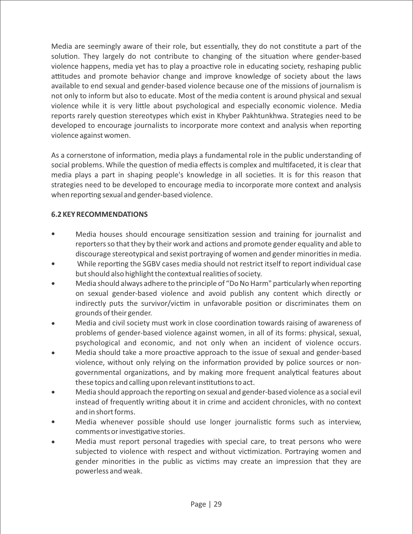Media are seemingly aware of their role, but essentially, they do not constitute a part of the solution. They largely do not contribute to changing of the situation where gender-based violence happens, media yet has to play a proactive role in educating society, reshaping public attitudes and promote behavior change and improve knowledge of society about the laws available to end sexual and gender-based violence because one of the missions of journalism is not only to inform but also to educate. Most of the media content is around physical and sexual violence while it is very little about psychological and especially economic violence. Media reports rarely question stereotypes which exist in Khyber Pakhtunkhwa. Strategies need to be developed to encourage journalists to incorporate more context and analysis when reporting violence against women.

As a cornerstone of information, media plays a fundamental role in the public understanding of social problems. While the question of media effects is complex and multifaceted, it is clear that media plays a part in shaping people's knowledge in all societies. It is for this reason that strategies need to be developed to encourage media to incorporate more context and analysis when reporting sexual and gender-based violence.

#### **6.2 KEY RECOMMENDATIONS**

- $\bullet$ Media houses should encourage sensitization session and training for journalist and reporters so that they by their work and actions and promote gender equality and able to discourage stereotypical and sexist portraying of women and gender minorities in media.
- While reporting the SGBV cases media should not restrict itself to report individual case but should also highlight the contextual realities of society.
- Media should always adhere to the principle of "Do No Harm" particularly when reporting  $\bullet$ on sexual gender-based violence and avoid publish any content which directly or indirectly puts the survivor/victim in unfavorable position or discriminates them on grounds of their gender.
- Media and civil society must work in close coordination towards raising of awareness of problems of gender-based violence against women, in all of its forms: physical, sexual, psychological and economic, and not only when an incident of violence occurs.
- Media should take a more proactive approach to the issue of sexual and gender-based  $\bullet$ violence, without only relying on the information provided by police sources or nongovernmental organizations, and by making more frequent analytical features about these topics and calling upon relevant institutions to act.
- $\bullet$ Media should approach the reporting on sexual and gender-based violence as a social evil instead of frequently writing about it in crime and accident chronicles, with no context and in short forms.
- Media whenever possible should use longer journalistic forms such as interview, comments or investigative stories.
- Media must report personal tragedies with special care, to treat persons who were subjected to violence with respect and without victimization. Portraying women and gender minorities in the public as victims may create an impression that they are powerless and weak.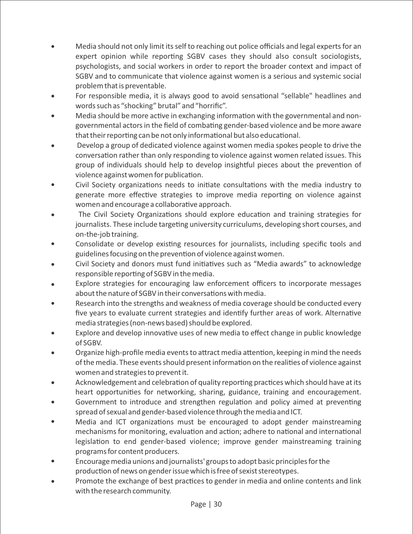- Media should not only limit its self to reaching out police officials and legal experts for an expert opinion while reporting SGBV cases they should also consult sociologists, psychologists, and social workers in order to report the broader context and impact of SGBV and to communicate that violence against women is a serious and systemic social problem that is preventable.
- For responsible media, it is always good to avoid sensational "sellable" headlines and words such as "shocking" brutal" and "horrific".
- Media should be more active in exchanging information with the governmental and nongovernmental actors in the field of combating gender-based violence and be more aware that their reporting can be not only informational but also educational.
- Develop a group of dedicated violence against women media spokes people to drive the conversation rather than only responding to violence against women related issues. This group of individuals should help to develop insightful pieces about the prevention of violence against women for publication.
- $\bullet$ Civil Society organizations needs to initiate consultations with the media industry to generate more effective strategies to improve media reporting on violence against women and encourage a collaborative approach.
- The Civil Society Organizations should explore education and training strategies for  $\bullet$ journalists. These include targeting university curriculums, developing short courses, and on-the-job training.
- Consolidate or develop existing resources for journalists, including specific tools and  $\bullet$ guidelines focusing on the prevention of violence against women.
- Civil Society and donors must fund initiatives such as "Media awards" to acknowledge responsible reporting of SGBV in the media.
- Explore strategies for encouraging law enforcement officers to incorporate messages about the nature of SGBV in their conversations with media.
- Research into the strengths and weakness of media coverage should be conducted every five years to evaluate current strategies and identify further areas of work. Alternative media strategies (non-news based) should be explored.
- Explore and develop innovative uses of new media to effect change in public knowledge of SGBV.
- Organize high-profile media events to attract media attention, keeping in mind the needs of the media. These events should present information on the realities of violence against women and strategies to prevent it.
- Acknowledgement and celebration of quality reporting practices which should have at its heart opportunities for networking, sharing, guidance, training and encouragement.
- Government to introduce and strengthen regulation and policy aimed at preventing spread of sexual and gender-based violence through the media and ICT.
- Media and ICT organizations must be encouraged to adopt gender mainstreaming  $\bullet$ mechanisms for monitoring, evaluation and action; adhere to national and international legislation to end gender-based violence; improve gender mainstreaming training programs for content producers.
- Encourage media unions and journalists' groups to adopt basic principles for the production of news on gender issue which is free of sexist stereotypes.
- Promote the exchange of best practices to gender in media and online contents and link with the research community.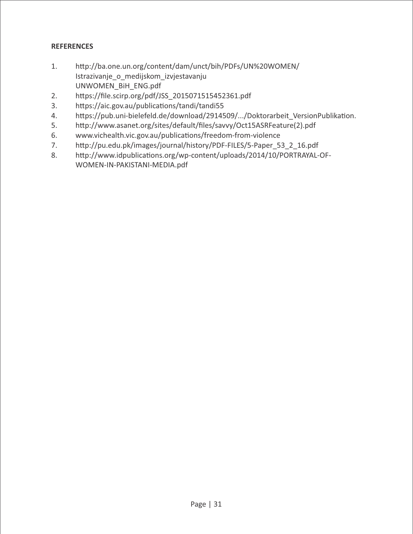## **REFERENCES**

- 1. http://ba.one.un.org/content/dam/unct/bih/PDFs/UN%20WOMEN/ Istrazivanje\_o\_medijskom\_izvjestavanju UNWOMEN\_BiH\_ENG.pdf
- 2. https://file.scirp.org/pdf/JSS\_2015071515452361.pdf
- 3. https://aic.gov.au/publications/tandi/tandi55
- 4. https://pub.uni-bielefeld.de/download/2914509/.../Doktorarbeit\_VersionPublikation.
- 5. http://www.asanet.org/sites/default/files/savvy/Oct15ASRFeature(2).pdf
- 6. www.vichealth.vic.gov.au/publications/freedom-from-violence
- 7. http://pu.edu.pk/images/journal/history/PDF-FILES/5-Paper 53\_2\_16.pdf
- 8. http://www.idpublications.org/wp-content/uploads/2014/10/PORTRAYAL-OF-WOMEN-IN-PAKISTANI-MEDIA.pdf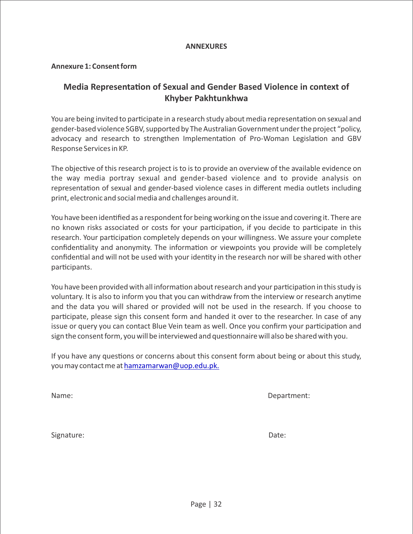#### **ANNEXURES**

#### **Annexure 1: Consent form**

# **Media Representation of Sexual and Gender Based Violence in context of Khyber Pakhtunkhwa**

You are being invited to participate in a research study about media representation on sexual and gender-based violence SGBV, supported by The Australian Government under the project "policy, advocacy and research to strengthen Implementation of Pro-Woman Legislation and GBV Response Services in KP.

The objective of this research project is to is to provide an overview of the available evidence on the way media portray sexual and gender-based violence and to provide analysis on representation of sexual and gender-based violence cases in different media outlets including print, electronic and social media and challenges around it.

You have been idenfied as a respondent for being working on the issue and covering it. There are no known risks associated or costs for your participation, if you decide to participate in this research. Your participation completely depends on your willingness. We assure your complete confidentiality and anonymity. The information or viewpoints you provide will be completely confidential and will not be used with your identity in the research nor will be shared with other participants.

You have been provided with all information about research and your participation in this study is voluntary. It is also to inform you that you can withdraw from the interview or research anyme and the data you will shared or provided will not be used in the research. If you choose to participate, please sign this consent form and handed it over to the researcher. In case of any issue or query you can contact Blue Vein team as well. Once you confirm your participation and sign the consent form, you will be interviewed and questionnaire will also be shared with you.

If you have any questions or concerns about this consent form about being or about this study, you may contact me at [hamzamarwan@uop.edu.pk.](mailto:hamzamarwan@uop.edu.pk)

Name: Department:

| Signature: | Date: |
|------------|-------|
|------------|-------|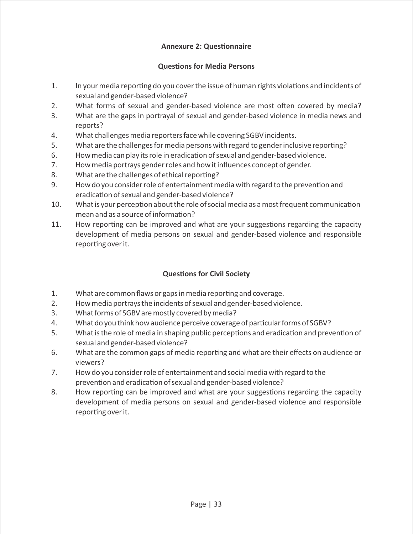#### **Annexure 2: Questionnaire**

#### **Questions for Media Persons**

- 1. In your media reporting do you cover the issue of human rights violations and incidents of sexual and gender-based violence?
- 2. What forms of sexual and gender-based violence are most often covered by media?
- 3. What are the gaps in portrayal of sexual and gender-based violence in media news and reports?
- 4. What challenges media reporters face while covering SGBV incidents.
- 5. What are the challenges for media persons with regard to gender inclusive reporting?
- 6. How media can play its role in eradication of sexual and gender-based violence.
- 7. How media portrays gender roles and how it influences concept of gender.
- 8. What are the challenges of ethical reporting?
- 9. How do you consider role of entertainment media with regard to the prevention and eradication of sexual and gender-based violence?
- 10. What is your perception about the role of social media as a most frequent communication  $mean$  and as a source of information?
- 11. How reporting can be improved and what are your suggestions regarding the capacity development of media persons on sexual and gender-based violence and responsible reporting over it.

# **Questions for Civil Society**

- 1. What are common flaws or gaps in media reporting and coverage.
- 2. How media portrays the incidents of sexual and gender-based violence.
- 3. What forms of SGBV are mostly covered by media?
- 4. What do you think how audience perceive coverage of particular forms of SGBV?
- 5. What is the role of media in shaping public perceptions and eradication and prevention of sexual and gender-based violence?
- 6. What are the common gaps of media reporting and what are their effects on audience or viewers?
- 7. How do you consider role of entertainment and social media with regard to the prevention and eradication of sexual and gender-based violence?
- 8. How reporting can be improved and what are your suggestions regarding the capacity development of media persons on sexual and gender-based violence and responsible reporting over it.